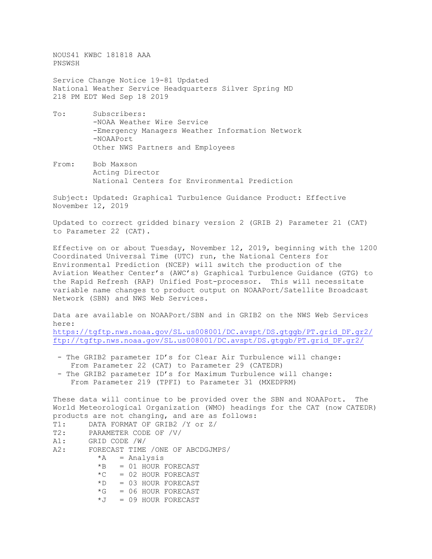NOUS41 KWBC 181818 AAA PNSWSH

Service Change Notice 19-81 Updated National Weather Service Headquarters Silver Spring MD 218 PM EDT Wed Sep 18 2019

- To: Subscribers: -NOAA Weather Wire Service -Emergency Managers Weather Information Network -NOAAPort Other NWS Partners and Employees
- From: Bob Maxson Acting Director National Centers for Environmental Prediction

Subject: Updated: Graphical Turbulence Guidance Product: Effective November 12, 2019

Updated to correct gridded binary version 2 (GRIB 2) Parameter 21 (CAT) to Parameter 22 (CAT).

Effective on or about Tuesday, November 12, 2019, beginning with the 1200 Coordinated Universal Time (UTC) run, the National Centers for Environmental Prediction (NCEP) will switch the production of the Aviation Weather Center's (AWC's) Graphical Turbulence Guidance (GTG) to the Rapid Refresh (RAP) Unified Post-processor. This will necessitate variable name changes to product output on NOAAPort/Satellite Broadcast Network (SBN) and NWS Web Services.

Data are available on NOAAPort/SBN and in GRIB2 on the NWS Web Services here:

[https://tgftp.nws.noaa.gov/SL.us008001/DC.avspt/DS.gtggb/PT.grid\\_DF.gr2/](https://tgftp.nws.noaa.gov/SL.us008001/DC.avspt/DS.gtggb/PT.grid_DF.gr2/) [ftp://tgftp.nws.noaa.gov/SL.us008001/DC.avspt/DS.gtggb/PT.grid\\_DF.gr2/](ftp://tgftp.nws.noaa.gov/SL.us008001/DC.avspt/DS.gtggb/PT.grid_DF.gr2/)

- The GRIB2 parameter ID's for Clear Air Turbulence will change: From Parameter 22 (CAT) to Parameter 29 (CATEDR)
- The GRIB2 parameter ID's for Maximum Turbulence will change: From Parameter 219 (TPFI) to Parameter 31 (MXEDPRM)

These data will continue to be provided over the SBN and NOAAPort. The World Meteorological Organization (WMO) headings for the CAT (now CATEDR) products are not changing, and are as follows:

T1: DATA FORMAT OF GRIB2 /Y or Z/<br>T2: PARAMETER CODE OF /V/ T2: PARAMETER CODE OF /V/<br>A1: GRID CODE /W/ A1: GRID CODE /W/<br>A2: FORECAST TIME FORECAST TIME /ONE OF ABCDGJMPS/<br> $*A = Analysis$  $*A$  = Analysis<br> $*B$  = 01 HOUR I  $= 01$  HOUR FORECAST  $*C = 02$  HOUR FORECAST  $*D = 03$  HOUR FORECAST  $*G = 06$  HOUR FORECAST<br> $*J = 09$  HOUR FORECAST  $= 09$  HOUR FORECAST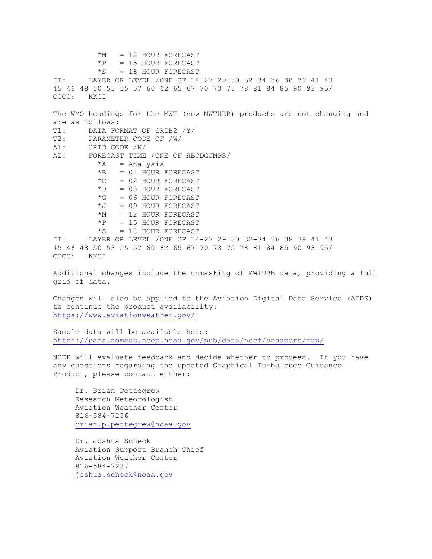```
*M = 12 HOUR FORECAST<br>*P = 15 HOUR FORECAST
           *P = 15 HOUR FORECAST<br>*S = 18 HOUR FORECAST
*S = 18 HOUR FORECAST<br>II: LAYER OR LEVEL /ONE OF 14
        LAYER OR LEVEL /ONE OF 14-27 29 30 32-34 36 38 39 41 43
45 46 48 50 53 55 57 60 62 65 67 70 73 75 78 81 84 85 90 93 95/
CCCC:
The WMO headings for the MWT (now MWTURB) products are not changing and 
are as follows:
T1: DATA FORMAT OF GRIB2 /Y/<br>T2: PARAMETER CODE OF /W/
T2: PARAMETER CODE OF /W/<br>A1: GRID CODE /N/
A1: GRID CODE /N/<br>A2: FORECAST TIME
        FORECAST TIME /ONE OF ABCDGJMPS/
           *A = Analysis*B = 01 HOUR FORECAST
           *C = 02 HOUR FORECAST<br>
*D = 03 HOUR FORECAST
               = 03 HOUR FORECAST
           *G = 06 HOUR FORECAST
           *J = 09 HOUR FORECAST
           *M = 12 HOUR FORECAST
           *P = 15 HOUR FORECAST<br>*S = 18 HOUR FORECAST
               = 18 HOUR FORECAST
II: LAYER OR LEVEL /ONE OF 14-27 29 30 32-34 36 38 39 41 43
45 46 48 50 53 55 57 60 62 65 67 70 73 75 78 81 84 85 90 93 95/
       KKCI
Additional changes include the unmasking of MWTURB data, providing a full 
grid of data.
Changes will also be applied to the Aviation Digital Data Service (ADDS) 
to continue the product availability:
https://www.aviationweather.gov/
Sample data will be available here:
https://para.nomads.ncep.noaa.gov/pub/data/nccf/noaaport/rap/
NCEP will evaluate feedback and decide whether to proceed. If you have 
any questions regarding the updated Graphical Turbulence Guidance 
Product, please contact either:
      Dr. Brian Pettegrew
      Research Meteorologist
      Aviation Weather Center
      816-584-7256
      brian.p.pettegrew@noaa.gov
      Dr. Joshua Scheck
      Aviation Support Branch Chief
      Aviation Weather Center
```
 816-584-7237 [joshua.scheck@noaa.gov](mailto:joshua.scheck@noaa.gov)